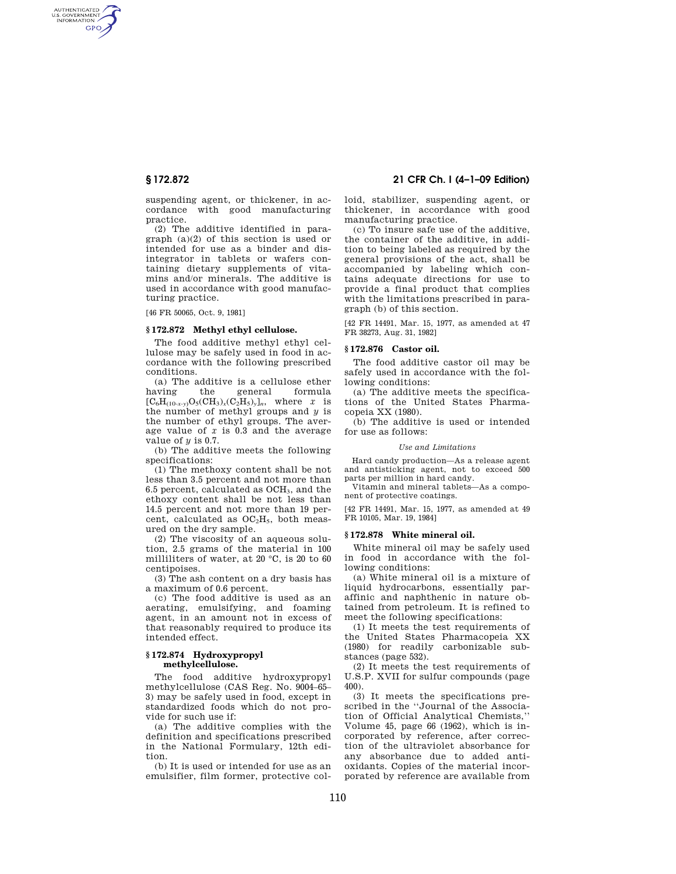AUTHENTICATED<br>U.S. GOVERNMENT<br>INFORMATION **GPO** 

> suspending agent, or thickener, in accordance with good manufacturing practice.

> (2) The additive identified in paragraph (a)(2) of this section is used or intended for use as a binder and disintegrator in tablets or wafers containing dietary supplements of vitamins and/or minerals. The additive is used in accordance with good manufacturing practice.

[46 FR 50065, Oct. 9, 1981]

## **§ 172.872 Methyl ethyl cellulose.**

The food additive methyl ethyl cellulose may be safely used in food in accordance with the following prescribed conditions.

(a) The additive is a cellulose ether having the general formula  $[C_6H_{(10-x-y)}O_5(CH_3)_x(C_2H_5)_y]_n$ , where *x* is the number of methyl groups and *y* is the number of ethyl groups. The average value of *x* is 0.3 and the average value of *y* is 0.7.

(b) The additive meets the following specifications:

(1) The methoxy content shall be not less than 3.5 percent and not more than 6.5 percent, calculated as OCH3, and the ethoxy content shall be not less than 14.5 percent and not more than 19 percent, calculated as  $OC<sub>2</sub>H<sub>5</sub>$ , both measured on the dry sample.

(2) The viscosity of an aqueous solution, 2.5 grams of the material in 100 milliliters of water, at 20 °C, is 20 to 60 centipoises.

(3) The ash content on a dry basis has a maximum of 0.6 percent.

(c) The food additive is used as an aerating, emulsifying, and foaming agent, in an amount not in excess of that reasonably required to produce its intended effect.

## **§ 172.874 Hydroxypropyl methylcellulose.**

The food additive hydroxypropyl methylcellulose (CAS Reg. No. 9004–65– 3) may be safely used in food, except in standardized foods which do not provide for such use if:

(a) The additive complies with the definition and specifications prescribed in the National Formulary, 12th edition.

(b) It is used or intended for use as an emulsifier, film former, protective col-

# **§ 172.872 21 CFR Ch. I (4–1–09 Edition)**

loid, stabilizer, suspending agent, or thickener, in accordance with good manufacturing practice.

(c) To insure safe use of the additive, the container of the additive, in addition to being labeled as required by the general provisions of the act, shall be accompanied by labeling which contains adequate directions for use to provide a final product that complies with the limitations prescribed in paragraph (b) of this section.

[42 FR 14491, Mar. 15, 1977, as amended at 47 FR 38273, Aug. 31, 1982]

### **§ 172.876 Castor oil.**

The food additive castor oil may be safely used in accordance with the following conditions:

(a) The additive meets the specifications of the United States Pharmacopeia XX (1980).

(b) The additive is used or intended for use as follows:

#### *Use and Limitations*

Hard candy production—As a release agent and antisticking agent, not to exceed 500 parts per million in hard candy.

Vitamin and mineral tablets—As a component of protective coatings.

[42 FR 14491, Mar. 15, 1977, as amended at 49 FR 10105, Mar. 19, 1984]

### **§ 172.878 White mineral oil.**

White mineral oil may be safely used in food in accordance with the following conditions:

(a) White mineral oil is a mixture of liquid hydrocarbons, essentially paraffinic and naphthenic in nature obtained from petroleum. It is refined to meet the following specifications:

(1) It meets the test requirements of the United States Pharmacopeia XX (1980) for readily carbonizable substances (page 532).

(2) It meets the test requirements of U.S.P. XVII for sulfur compounds (page 400).

(3) It meets the specifications prescribed in the ''Journal of the Association of Official Analytical Chemists,'' Volume 45, page 66 (1962), which is incorporated by reference, after correction of the ultraviolet absorbance for any absorbance due to added antioxidants. Copies of the material incorporated by reference are available from